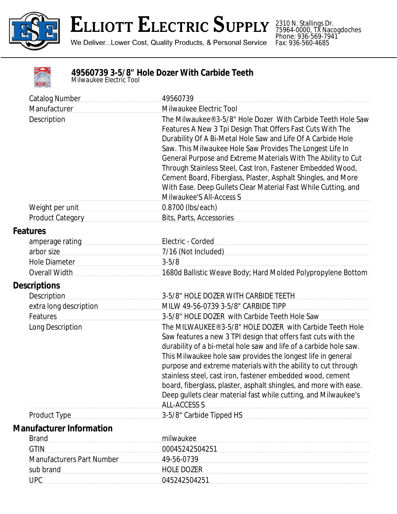

## **ELLIOTT ELECTRIC SUPPLY**

We Deliver...Lower Cost, Quality Products, & Personal Service

2310 N. Stallings Dr. 75964-0000, TX Nacogdoches Phone: 936-569-7941 Fax: 936-560-4685

|                | ٠ |
|----------------|---|
|                |   |
|                |   |
| <b>CARGHOS</b> |   |

## **49560739 3-5/8" Hole Dozer With Carbide Teeth**

*Milwaukee Electric Tool*

| <b>Catalog Number</b>            | 49560739                                                                                                                                                                                                                                                                                                                                                                                                                                                                                                                                                      |  |
|----------------------------------|---------------------------------------------------------------------------------------------------------------------------------------------------------------------------------------------------------------------------------------------------------------------------------------------------------------------------------------------------------------------------------------------------------------------------------------------------------------------------------------------------------------------------------------------------------------|--|
| Manufacturer                     | Milwaukee Electric Tool                                                                                                                                                                                                                                                                                                                                                                                                                                                                                                                                       |  |
| Description                      | The Milwaukee® 3-5/8" Hole Dozer With Carbide Teeth Hole Saw<br>Features A New 3 Tpi Design That Offers Fast Cuts With The<br>Durability Of A Bi-Metal Hole Saw and Life Of A Carbide Hole<br>Saw. This Milwaukee Hole Saw Provides The Longest Life In<br>General Purpose and Extreme Materials With The Ability to Cut<br>Through Stainless Steel, Cast Iron, Fastener Embedded Wood,<br>Cement Board, Fiberglass, Plaster, Asphalt Shingles, and More<br>With Ease. Deep Gullets Clear Material Fast While Cutting, and<br>Milwaukee'S All-Access S        |  |
| Weight per unit                  | 0.8700 (lbs/each)                                                                                                                                                                                                                                                                                                                                                                                                                                                                                                                                             |  |
| Product Category                 | Bits, Parts, Accessories                                                                                                                                                                                                                                                                                                                                                                                                                                                                                                                                      |  |
| <b>Features</b>                  |                                                                                                                                                                                                                                                                                                                                                                                                                                                                                                                                                               |  |
| amperage rating                  | Electric - Corded                                                                                                                                                                                                                                                                                                                                                                                                                                                                                                                                             |  |
| arbor size                       |                                                                                                                                                                                                                                                                                                                                                                                                                                                                                                                                                               |  |
| Hole Diameter                    | $3 - 5/8$                                                                                                                                                                                                                                                                                                                                                                                                                                                                                                                                                     |  |
| Overall Width                    | 1680d Ballistic Weave Body; Hard Molded Polypropylene Bottom                                                                                                                                                                                                                                                                                                                                                                                                                                                                                                  |  |
| <b>Descriptions</b>              |                                                                                                                                                                                                                                                                                                                                                                                                                                                                                                                                                               |  |
| <b>Description</b>               | 3-5/8" HOLE DOZER WITH CARBIDE TEETH                                                                                                                                                                                                                                                                                                                                                                                                                                                                                                                          |  |
| extra long description           | MILW 49-56-0739 3-5/8" CARBIDE TIPP                                                                                                                                                                                                                                                                                                                                                                                                                                                                                                                           |  |
| Features                         | 3-5/8" HOLE DOZER with Carbide Teeth Hole Saw                                                                                                                                                                                                                                                                                                                                                                                                                                                                                                                 |  |
| Long Description                 | The MILWAUKEE® 3-5/8" HOLE DOZER with Carbide Teeth Hole<br>Saw features a new 3 TPI design that offers fast cuts with the<br>durability of a bi-metal hole saw and life of a carbide hole saw.<br>This Milwaukee hole saw provides the longest life in general<br>purpose and extreme materials with the ability to cut through<br>stainless steel, cast iron, fastener embedded wood, cement<br>board, fiberglass, plaster, asphalt shingles, and more with ease.<br>Deep gullets clear material fast while cutting, and Milwaukee's<br><b>ALL-ACCESS S</b> |  |
| <b>Product Type</b>              | 3-5/8" Carbide Tipped HS                                                                                                                                                                                                                                                                                                                                                                                                                                                                                                                                      |  |
| <b>Manufacturer Information</b>  |                                                                                                                                                                                                                                                                                                                                                                                                                                                                                                                                                               |  |
| <b>Brand</b>                     | milwaukee                                                                                                                                                                                                                                                                                                                                                                                                                                                                                                                                                     |  |
| <b>GTIN</b>                      | 00045242504251                                                                                                                                                                                                                                                                                                                                                                                                                                                                                                                                                |  |
| <b>Manufacturers Part Number</b> | 49-56-0739                                                                                                                                                                                                                                                                                                                                                                                                                                                                                                                                                    |  |
| sub brand                        | <b>HOLE DOZER</b>                                                                                                                                                                                                                                                                                                                                                                                                                                                                                                                                             |  |
| <b>UPC</b>                       | 045242504251                                                                                                                                                                                                                                                                                                                                                                                                                                                                                                                                                  |  |